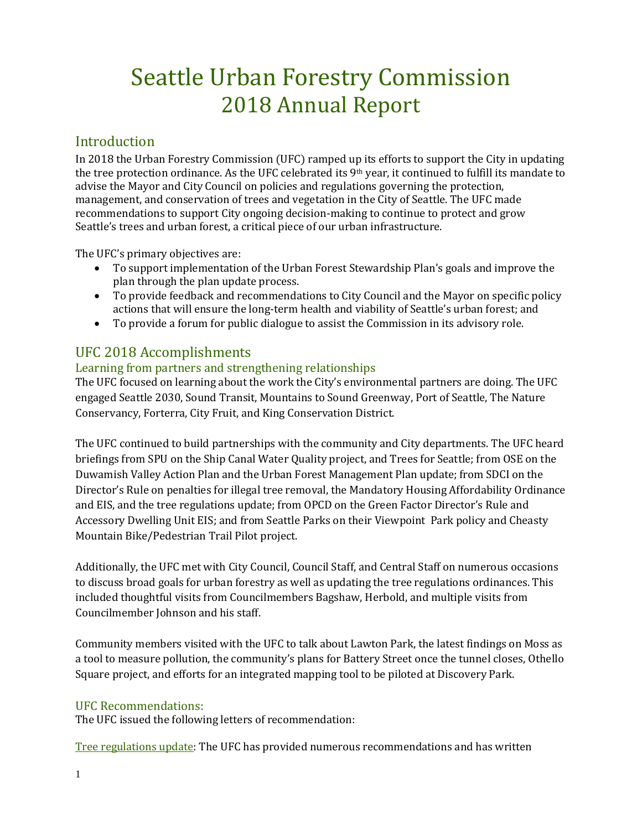# Seattle Urban Forestry Commission 2018 Annual Report

# Introduction

In 2018 the Urban Forestry Commission (UFC) ramped up its efforts to support the City in updating the tree protection ordinance. As the UFC celebrated its 9th year, it continued to fulfill its mandate to advise the Mayor and City Council on policies and regulations governing the protection, management, and conservation of trees and vegetation in the City of Seattle. The UFC made recommendations to support City ongoing decision-making to continue to protect and grow Seattle's trees and urban forest, a critical piece of our urban infrastructure.

The UFC's primary objectives are:

- To support implementation of the Urban Forest Stewardship Plan's goals and improve the plan through the plan update process.
- To provide feedback and recommendations to City Council and the Mayor on specific policy actions that will ensure the long-term health and viability of Seattle's urban forest; and
- To provide a forum for public dialogue to assist the Commission in its advisory role.

# UFC 2018 Accomplishments

# Learning from partners and strengthening relationships

The UFC focused on learning about the work the City's environmental partners are doing. The UFC engaged Seattle 2030, Sound Transit, Mountains to Sound Greenway, Port of Seattle, The Nature Conservancy, Forterra, City Fruit, and King Conservation District.

The UFC continued to build partnerships with the community and City departments. The UFC heard briefings from SPU on the Ship Canal Water Quality project, and Trees for Seattle; from OSE on the Duwamish Valley Action Plan and the Urban Forest Management Plan update; from SDCI on the Director's Rule on penalties for illegal tree removal, the Mandatory Housing Affordability Ordinance and EIS, and the tree regulations update; from OPCD on the Green Factor Director's Rule and Accessory Dwelling Unit EIS; and from Seattle Parks on their Viewpoint Park policy and Cheasty Mountain Bike/Pedestrian Trail Pilot project.

Additionally, the UFC met with City Council, Council Staff, and Central Staff on numerous occasions to discuss broad goals for urban forestry as well as updating the tree regulations ordinances. This included thoughtful visits from Councilmembers Bagshaw, Herbold, and multiple visits from Councilmember Johnson and his staff.

Community members visited with the UFC to talk about Lawton Park, the latest findings on Moss as a tool to measure pollution, the community's plans for Battery Street once the tunnel closes, Othello Square project, and efforts for an integrated mapping tool to be piloted at Discovery Park.

# UFC Recommendations:

The UFC issued the following letters of recommendation:

Tree regulations update: The UFC has provided numerous recommendations and has written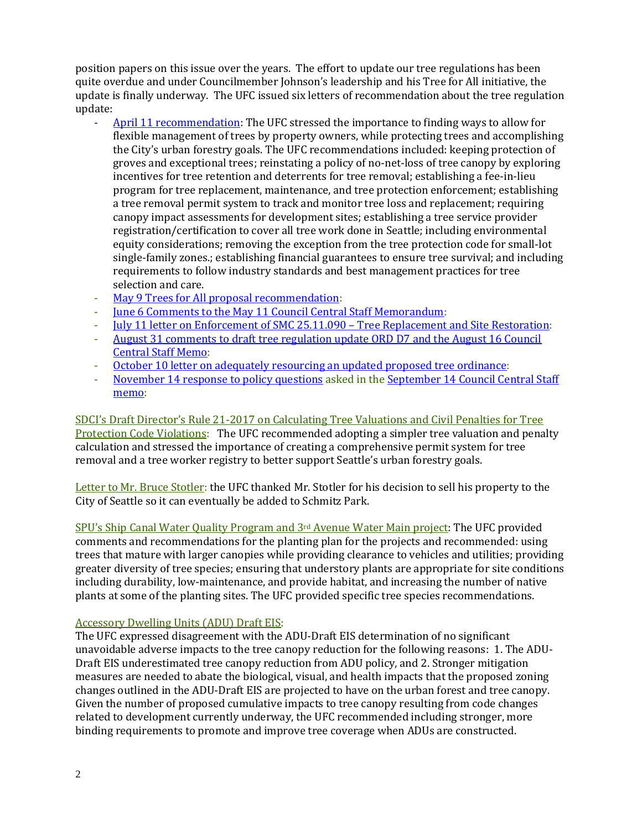position papers on this issue over the years. The effort to update our tree regulations has been quite overdue and under Councilmember Johnson's leadership and his Tree for All initiative, the update is finally underway. The UFC issued six letters of recommendation about the tree regulation update:

- [April 11 recommendation:](http://www.seattle.gov/Documents/Departments/UrbanForestryCommission/FinalIssuedDocuments/Recommendations/ADOPTEDTreeRegsLetter041118Corrected.pdf) The UFC stressed the importance to finding ways to allow for flexible management of trees by property owners, while protecting trees and accomplishing the City's urban forestry goals. The UFC recommendations included: keeping protection of groves and exceptional trees; reinstating a policy of no-net-loss of tree canopy by exploring incentives for tree retention and deterrents for tree removal; establishing a fee-in-lieu program for tree replacement, maintenance, and tree protection enforcement; establishing a tree removal permit system to track and monitor tree loss and replacement; requiring canopy impact assessments for development sites; establishing a tree service provider registration/certification to cover all tree work done in Seattle; including environmental equity considerations; removing the exception from the tree protection code for small-lot single-family zones.; establishing financial guarantees to ensure tree survival; and including requirements to follow industry standards and best management practices for tree selection and care.
- May 9 Trees for [All proposal recommendation:](http://www.seattle.gov/Documents/Departments/UrbanForestryCommission/FinalIssuedDocuments/Recommendations/ADOPTEDCMJohnsonTreesforAll050918.pdf)<br>- Tune 6 Comments to the May 11 Council Central
- [June 6 Comments to the May 11 Council Central Staff Memorandum:](http://www.seattle.gov/Documents/Departments/UrbanForestryCommission/FinalIssuedDocuments/Recommendations/ADOPTEDTreeRegsPLUZComm060618.pdf)
- <u>[July 11 letter on Enforcement of SMC 25.11.090 –](http://www.seattle.gov/Documents/Departments/UrbanForestryCommission/FinalIssuedDocuments/Recommendations/AdoptedTreeRegsEnforcement071118.pdf) Tree Replacement and Site Restoration</u>:<br>- August 31 comments to draft tree regulation undate ORD D7 and the August 16 Council
- [August 31 comments to draft tree regulation update ORD D7 and the August 16 Council](http://www.seattle.gov/Documents/Departments/UrbanForestryCommission/FinalIssuedDocuments/Recommendations/ADOPTEDLetterTreeOrd083118.pdf)  [Central Staff Memo:](http://www.seattle.gov/Documents/Departments/UrbanForestryCommission/FinalIssuedDocuments/Recommendations/ADOPTEDLetterTreeOrd083118.pdf)
- [October 10 letter on adequately resourcing an updated proposed tree ordinance:](http://www.seattle.gov/Documents/Departments/UrbanForestryCommission/FinalIssuedDocuments/Recommendations/ADOPTED-UFCTreeOrdBudget101018.pdf)<br>- November 14 response to policy questions asked in the Sentember 14 Council Cen
- [November 14 response to policy questions](http://www.seattle.gov/Documents/Departments/UrbanForestryCommission/FinalIssuedDocuments/Recommendations/ADOPTEDTreeOrdLetter111418.pdf) asked in the September 14 Council Central Staff [memo:](http://www.seattle.gov/Documents/Departments/UrbanForestryCommission/2018/2018docs/CentralStaffMemo091418TreeRegsPolicyQs.pdf)

SDCI's Draft Director's Rule 21-2017 on Calculating Tree Valuations and Civil Penalties for Tree Protection Code Violations: The UFC recommended adopting a simpler tree valuation and penalty calculation and stressed the importance of creating a comprehensive permit system for tree removal and a tree worker registry to better support Seattle's urban forestry goals.

Letter to Mr. Bruce Stotler: the UFC thanked Mr. Stotler for his decision to sell his property to the City of Seattle so it can eventually be added to Schmitz Park.

SPU's Ship Canal Water Quality Program and 3rd Avenue Water Main project: The UFC provided comments and recommendations for the planting plan for the projects and recommended: using trees that mature with larger canopies while providing clearance to vehicles and utilities; providing greater diversity of tree species; ensuring that understory plants are appropriate for site conditions including durability, low-maintenance, and provide habitat, and increasing the number of native plants at some of the planting sites. The UFC provided specific tree species recommendations.

# Accessory Dwelling Units (ADU) Draft EIS:

The UFC expressed disagreement with the ADU-Draft EIS determination of no significant unavoidable adverse impacts to the tree canopy reduction for the following reasons: 1. The ADU-Draft EIS underestimated tree canopy reduction from ADU policy, and 2. Stronger mitigation measures are needed to abate the biological, visual, and health impacts that the proposed zoning changes outlined in the ADU-Draft EIS are projected to have on the urban forest and tree canopy. Given the number of proposed cumulative impacts to tree canopy resulting from code changes related to development currently underway, the UFC recommended including stronger, more binding requirements to promote and improve tree coverage when ADUs are constructed.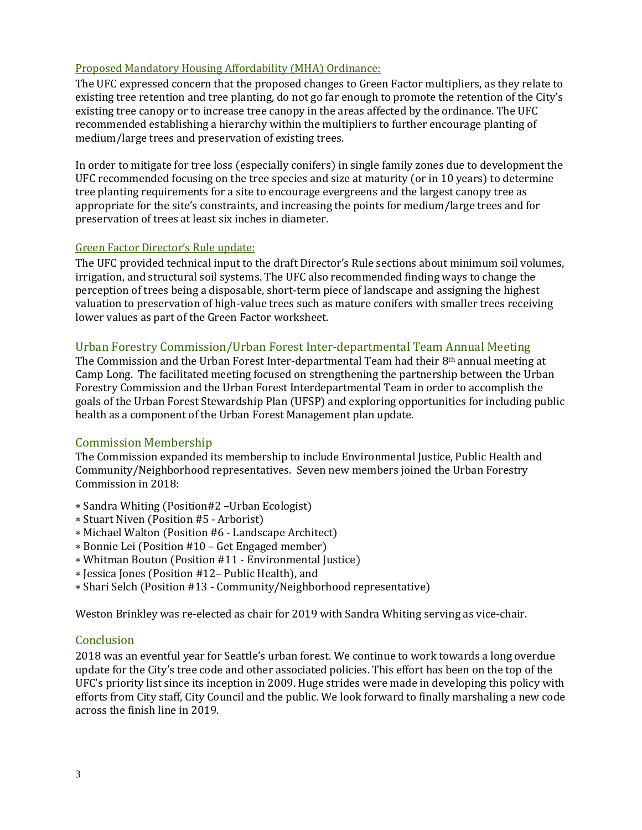## Proposed Mandatory Housing Affordability (MHA) Ordinance:

The UFC expressed concern that the proposed changes to Green Factor multipliers, as they relate to existing tree retention and tree planting, do not go far enough to promote the retention of the City's existing tree canopy or to increase tree canopy in the areas affected by the ordinance. The UFC recommended establishing a hierarchy within the multipliers to further encourage planting of medium/large trees and preservation of existing trees.

In order to mitigate for tree loss (especially conifers) in single family zones due to development the UFC recommended focusing on the tree species and size at maturity (or in 10 years) to determine tree planting requirements for a site to encourage evergreens and the largest canopy tree as appropriate for the site's constraints, and increasing the points for medium/large trees and for preservation of trees at least six inches in diameter.

#### Green Factor Director's Rule update:

The UFC provided technical input to the draft Director's Rule sections about minimum soil volumes, irrigation, and structural soil systems. The UFC also recommended finding ways to change the perception of trees being a disposable, short-term piece of landscape and assigning the highest valuation to preservation of high-value trees such as mature conifers with smaller trees receiving lower values as part of the Green Factor worksheet.

#### Urban Forestry Commission/Urban Forest Inter-departmental Team Annual Meeting

The Commission and the Urban Forest Inter-departmental Team had their  $8<sup>th</sup>$  annual meeting at Camp Long. The facilitated meeting focused on strengthening the partnership between the Urban Forestry Commission and the Urban Forest Interdepartmental Team in order to accomplish the goals of the Urban Forest Stewardship Plan (UFSP) and exploring opportunities for including public health as a component of the Urban Forest Management plan update.

#### Commission Membership

The Commission expanded its membership to include Environmental Justice, Public Health and Community/Neighborhood representatives. Seven new members joined the Urban Forestry Commission in 2018:

- ∗ Sandra Whiting (Position#2 –Urban Ecologist)
- ∗ Stuart Niven (Position #5 Arborist)
- ∗ Michael Walton (Position #6 Landscape Architect)
- ∗ Bonnie Lei (Position #10 Get Engaged member)
- ∗ Whitman Bouton (Position #11 Environmental Justice)
- ∗ Jessica Jones (Position #12– Public Health), and
- ∗ Shari Selch (Position #13 Community/Neighborhood representative)

Weston Brinkley was re-elected as chair for 2019 with Sandra Whiting serving as vice-chair.

## **Conclusion**

2018 was an eventful year for Seattle's urban forest. We continue to work towards a long overdue update for the City's tree code and other associated policies. This effort has been on the top of the UFC's priority list since its inception in 2009. Huge strides were made in developing this policy with efforts from City staff, City Council and the public. We look forward to finally marshaling a new code across the finish line in 2019.